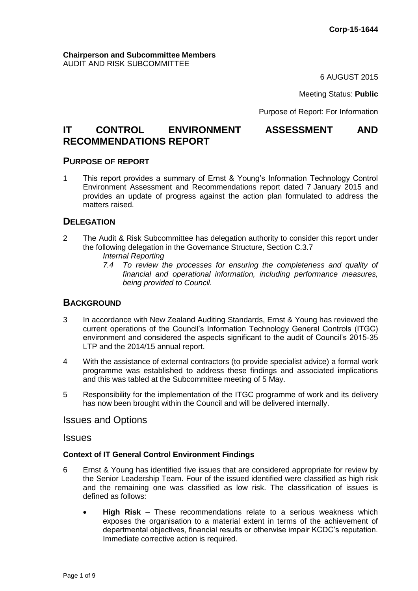#### **Chairperson and Subcommittee Members** AUDIT AND RISK SUBCOMMITTEE

6 AUGUST 2015

Meeting Status: **Public**

Purpose of Report: For Information

# **IT CONTROL ENVIRONMENT ASSESSMENT AND RECOMMENDATIONS REPORT**

### **PURPOSE OF REPORT**

1 This report provides a summary of Ernst & Young's Information Technology Control Environment Assessment and Recommendations report dated 7 January 2015 and provides an update of progress against the action plan formulated to address the matters raised.

## **DELEGATION**

- 2 The Audit & Risk Subcommittee has delegation authority to consider this report under the following delegation in the Governance Structure, Section C.3.7
	- *Internal Reporting*
	- *7.4 To review the processes for ensuring the completeness and quality of financial and operational information, including performance measures, being provided to Council.*

#### **BACKGROUND**

- 3 In accordance with New Zealand Auditing Standards, Ernst & Young has reviewed the current operations of the Council's Information Technology General Controls (ITGC) environment and considered the aspects significant to the audit of Council's 2015-35 LTP and the 2014/15 annual report.
- 4 With the assistance of external contractors (to provide specialist advice) a formal work programme was established to address these findings and associated implications and this was tabled at the Subcommittee meeting of 5 May.
- 5 Responsibility for the implementation of the ITGC programme of work and its delivery has now been brought within the Council and will be delivered internally.

Issues and Options

#### **Issues**

#### **Context of IT General Control Environment Findings**

- 6 Ernst & Young has identified five issues that are considered appropriate for review by the Senior Leadership Team. Four of the issued identified were classified as high risk and the remaining one was classified as low risk. The classification of issues is defined as follows:
	- **High Risk** These recommendations relate to a serious weakness which exposes the organisation to a material extent in terms of the achievement of departmental objectives, financial results or otherwise impair KCDC's reputation. Immediate corrective action is required.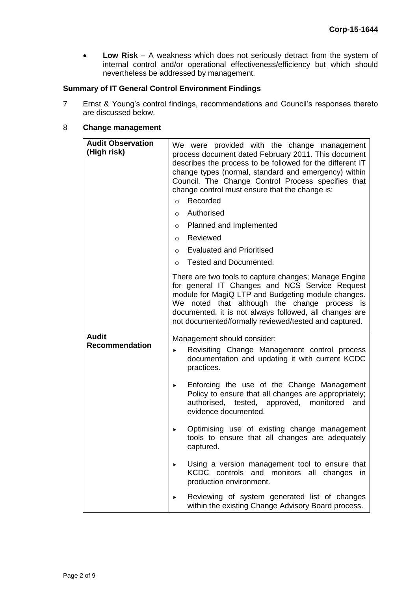**Low Risk** – A weakness which does not seriously detract from the system of internal control and/or operational effectiveness/efficiency but which should nevertheless be addressed by management.

#### **Summary of IT General Control Environment Findings**

7 Ernst & Young's control findings, recommendations and Council's responses thereto are discussed below.

## 8 **Change management**

| <b>Audit Observation</b><br>(High risk) | We were provided with the change management<br>process document dated February 2011. This document<br>describes the process to be followed for the different IT<br>change types (normal, standard and emergency) within<br>Council. The Change Control Process specifies that<br>change control must ensure that the change is:<br>Recorded<br>$\circ$<br>Authorised<br>$\circ$<br>Planned and Implemented<br>$\circ$<br>Reviewed<br>$\circ$<br><b>Evaluated and Prioritised</b><br>$\circ$ |
|-----------------------------------------|---------------------------------------------------------------------------------------------------------------------------------------------------------------------------------------------------------------------------------------------------------------------------------------------------------------------------------------------------------------------------------------------------------------------------------------------------------------------------------------------|
|                                         | Tested and Documented.<br>$\circ$                                                                                                                                                                                                                                                                                                                                                                                                                                                           |
|                                         | There are two tools to capture changes; Manage Engine<br>for general IT Changes and NCS Service Request<br>module for MagiQ LTP and Budgeting module changes.<br>We noted that although the change process is<br>documented, it is not always followed, all changes are<br>not documented/formally reviewed/tested and captured.                                                                                                                                                            |
| <b>Audit</b>                            | Management should consider:                                                                                                                                                                                                                                                                                                                                                                                                                                                                 |
| <b>Recommendation</b>                   | Revisiting Change Management control process<br>▶<br>documentation and updating it with current KCDC<br>practices.                                                                                                                                                                                                                                                                                                                                                                          |
|                                         | Enforcing the use of the Change Management<br>▶<br>Policy to ensure that all changes are appropriately;<br>authorised, tested, approved, monitored<br>and<br>evidence documented.                                                                                                                                                                                                                                                                                                           |
|                                         | Optimising use of existing change management<br>▶<br>tools to ensure that all changes are adequately<br>captured.                                                                                                                                                                                                                                                                                                                                                                           |
|                                         | Using a version management tool to ensure that<br>KCDC controls and monitors all changes<br>in.<br>production environment.                                                                                                                                                                                                                                                                                                                                                                  |
|                                         | Reviewing of system generated list of changes<br>within the existing Change Advisory Board process.                                                                                                                                                                                                                                                                                                                                                                                         |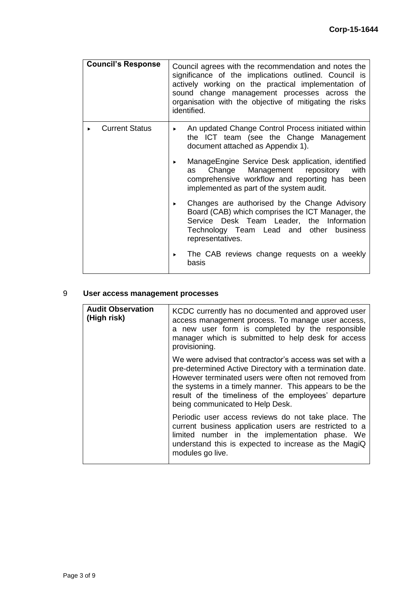| <b>Council's Response</b> | Council agrees with the recommendation and notes the<br>significance of the implications outlined. Council is<br>actively working on the practical implementation of<br>sound change management processes across the<br>organisation with the objective of mitigating the risks<br>identified. |
|---------------------------|------------------------------------------------------------------------------------------------------------------------------------------------------------------------------------------------------------------------------------------------------------------------------------------------|
| <b>Current Status</b>     | An updated Change Control Process initiated within<br>▶<br>the ICT team (see the Change Management<br>document attached as Appendix 1).                                                                                                                                                        |
|                           | ManageEngine Service Desk application, identified<br>▶.<br>Change Management repository<br>with<br>as<br>comprehensive workflow and reporting has been<br>implemented as part of the system audit.                                                                                             |
|                           | Changes are authorised by the Change Advisory<br>▶<br>Board (CAB) which comprises the ICT Manager, the<br>Service Desk Team Leader, the Information<br>Technology Team Lead and other<br>business<br>representatives.                                                                          |
|                           | The CAB reviews change requests on a weekly<br>basis                                                                                                                                                                                                                                           |

## 9 **User access management processes**

| <b>Audit Observation</b><br>(High risk) | KCDC currently has no documented and approved user<br>access management process. To manage user access,<br>a new user form is completed by the responsible<br>manager which is submitted to help desk for access<br>provisioning.                                                                                                 |
|-----------------------------------------|-----------------------------------------------------------------------------------------------------------------------------------------------------------------------------------------------------------------------------------------------------------------------------------------------------------------------------------|
|                                         | We were advised that contractor's access was set with a<br>pre-determined Active Directory with a termination date.<br>However terminated users were often not removed from<br>the systems in a timely manner. This appears to be the<br>result of the timeliness of the employees' departure<br>being communicated to Help Desk. |
|                                         | Periodic user access reviews do not take place. The<br>current business application users are restricted to a<br>limited number in the implementation phase. We<br>understand this is expected to increase as the MagiQ<br>modules go live.                                                                                       |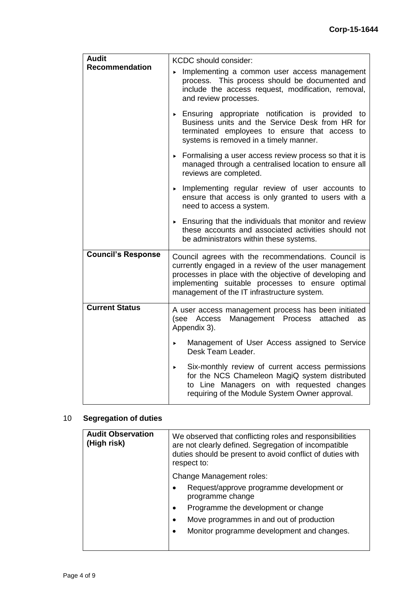| <b>Audit</b>              | KCDC should consider:                                                                                                                                                                                                                                                      |
|---------------------------|----------------------------------------------------------------------------------------------------------------------------------------------------------------------------------------------------------------------------------------------------------------------------|
| <b>Recommendation</b>     | Implementing a common user access management<br>process. This process should be documented and<br>include the access request, modification, removal,<br>and review processes.                                                                                              |
|                           | Ensuring appropriate notification is provided to<br>Business units and the Service Desk from HR for<br>terminated employees to ensure that access to<br>systems is removed in a timely manner.                                                                             |
|                           | Formalising a user access review process so that it is<br>managed through a centralised location to ensure all<br>reviews are completed.                                                                                                                                   |
|                           | Implementing regular review of user accounts to<br>ensure that access is only granted to users with a<br>need to access a system.                                                                                                                                          |
|                           | Ensuring that the individuals that monitor and review<br>these accounts and associated activities should not<br>be administrators within these systems.                                                                                                                    |
| <b>Council's Response</b> | Council agrees with the recommendations. Council is<br>currently engaged in a review of the user management<br>processes in place with the objective of developing and<br>implementing suitable processes to ensure optimal<br>management of the IT infrastructure system. |
| <b>Current Status</b>     | A user access management process has been initiated<br>Management Process<br>(see Access<br>attached<br>as<br>Appendix 3).                                                                                                                                                 |
|                           | Management of User Access assigned to Service<br>ь<br>Desk Team Leader.                                                                                                                                                                                                    |
|                           | Six-monthly review of current access permissions<br>×<br>for the NCS Chameleon MagiQ system distributed<br>to Line Managers on with requested changes<br>requiring of the Module System Owner approval.                                                                    |

## 10 **Segregation of duties**

| <b>Audit Observation</b><br>(High risk) | We observed that conflicting roles and responsibilities<br>are not clearly defined. Segregation of incompatible<br>duties should be present to avoid conflict of duties with<br>respect to: |
|-----------------------------------------|---------------------------------------------------------------------------------------------------------------------------------------------------------------------------------------------|
|                                         | <b>Change Management roles:</b><br>Request/approve programme development or<br>$\bullet$                                                                                                    |
|                                         | programme change<br>Programme the development or change<br>$\bullet$                                                                                                                        |
|                                         | Move programmes in and out of production<br>$\bullet$                                                                                                                                       |
|                                         | Monitor programme development and changes.<br>$\bullet$                                                                                                                                     |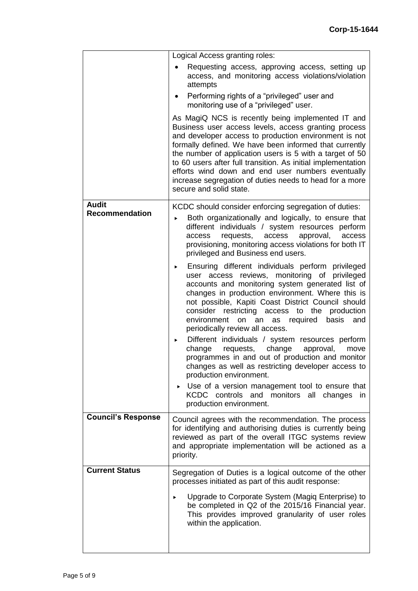|                           | Logical Access granting roles:                                                                                                                                                                                                                                                                                                                                                                                                                                                                      |
|---------------------------|-----------------------------------------------------------------------------------------------------------------------------------------------------------------------------------------------------------------------------------------------------------------------------------------------------------------------------------------------------------------------------------------------------------------------------------------------------------------------------------------------------|
|                           | Requesting access, approving access, setting up<br>access, and monitoring access violations/violation<br>attempts                                                                                                                                                                                                                                                                                                                                                                                   |
|                           | Performing rights of a "privileged" user and<br>$\bullet$<br>monitoring use of a "privileged" user.                                                                                                                                                                                                                                                                                                                                                                                                 |
|                           | As MagiQ NCS is recently being implemented IT and<br>Business user access levels, access granting process<br>and developer access to production environment is not<br>formally defined. We have been informed that currently<br>the number of application users is 5 with a target of 50<br>to 60 users after full transition. As initial implementation<br>efforts wind down and end user numbers eventually<br>increase segregation of duties needs to head for a more<br>secure and solid state. |
| <b>Audit</b>              | KCDC should consider enforcing segregation of duties:                                                                                                                                                                                                                                                                                                                                                                                                                                               |
| <b>Recommendation</b>     | Both organizationally and logically, to ensure that<br>▶<br>different individuals / system resources perform<br>requests, access<br>approval,<br>access<br>access<br>provisioning, monitoring access violations for both IT<br>privileged and Business end users.                                                                                                                                                                                                                                   |
|                           | Ensuring different individuals perform privileged<br>▶<br>user access reviews, monitoring of privileged<br>accounts and monitoring system generated list of<br>changes in production environment. Where this is<br>not possible, Kapiti Coast District Council should<br>consider restricting access to the production<br>environment<br>on an as required<br>basis<br>and<br>periodically review all access.                                                                                       |
|                           | Different individuals / system resources perform<br>▶<br>change<br>change<br>requests,<br>approval,<br>move<br>programmes in and out of production and monitor<br>changes as well as restricting developer access to<br>production environment.                                                                                                                                                                                                                                                     |
|                           | ► Use of a version management tool to ensure that<br>KCDC controls and monitors all changes<br>in.<br>production environment.                                                                                                                                                                                                                                                                                                                                                                       |
| <b>Council's Response</b> | Council agrees with the recommendation. The process<br>for identifying and authorising duties is currently being<br>reviewed as part of the overall ITGC systems review<br>and appropriate implementation will be actioned as a<br>priority.                                                                                                                                                                                                                                                        |
| <b>Current Status</b>     | Segregation of Duties is a logical outcome of the other<br>processes initiated as part of this audit response:                                                                                                                                                                                                                                                                                                                                                                                      |
|                           | Upgrade to Corporate System (Magiq Enterprise) to<br>be completed in Q2 of the 2015/16 Financial year.<br>This provides improved granularity of user roles<br>within the application.                                                                                                                                                                                                                                                                                                               |
|                           |                                                                                                                                                                                                                                                                                                                                                                                                                                                                                                     |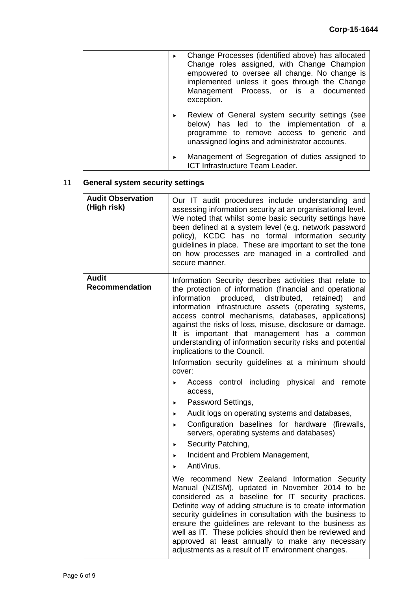|   | Change Processes (identified above) has allocated<br>Change roles assigned, with Change Champion<br>empowered to oversee all change. No change is<br>implemented unless it goes through the Change<br>Management Process, or is a documented<br>exception. |
|---|------------------------------------------------------------------------------------------------------------------------------------------------------------------------------------------------------------------------------------------------------------|
| ▶ | Review of General system security settings (see<br>below) has led to the implementation of a<br>programme to remove access to generic and<br>unassigned logins and administrator accounts.                                                                 |
| ▶ | Management of Segregation of duties assigned to<br>ICT Infrastructure Team Leader.                                                                                                                                                                         |

# 11 **General system security settings**

| <b>Audit Observation</b><br>(High risk) | Our IT audit procedures include understanding and<br>assessing information security at an organisational level.<br>We noted that whilst some basic security settings have<br>been defined at a system level (e.g. network password<br>policy), KCDC has no formal information security<br>guidelines in place. These are important to set the tone<br>on how processes are managed in a controlled and<br>secure manner.                                                                                     |
|-----------------------------------------|--------------------------------------------------------------------------------------------------------------------------------------------------------------------------------------------------------------------------------------------------------------------------------------------------------------------------------------------------------------------------------------------------------------------------------------------------------------------------------------------------------------|
| <b>Audit</b><br><b>Recommendation</b>   | Information Security describes activities that relate to<br>the protection of information (financial and operational<br>produced, distributed,<br>information<br>retained)<br>and<br>information infrastructure assets (operating systems,<br>access control mechanisms, databases, applications)<br>against the risks of loss, misuse, disclosure or damage.<br>It is important that management has a common<br>understanding of information security risks and potential<br>implications to the Council.   |
|                                         | Information security guidelines at a minimum should<br>cover:                                                                                                                                                                                                                                                                                                                                                                                                                                                |
|                                         | Access control including physical and remote<br>access,                                                                                                                                                                                                                                                                                                                                                                                                                                                      |
|                                         | Password Settings,<br>$\blacktriangleright$                                                                                                                                                                                                                                                                                                                                                                                                                                                                  |
|                                         | Audit logs on operating systems and databases,<br>×.                                                                                                                                                                                                                                                                                                                                                                                                                                                         |
|                                         | Configuration baselines for hardware (firewalls,<br>$\blacktriangleright$<br>servers, operating systems and databases)                                                                                                                                                                                                                                                                                                                                                                                       |
|                                         | Security Patching,<br>$\blacktriangleright$                                                                                                                                                                                                                                                                                                                                                                                                                                                                  |
|                                         | Incident and Problem Management,                                                                                                                                                                                                                                                                                                                                                                                                                                                                             |
|                                         | AntiVirus.                                                                                                                                                                                                                                                                                                                                                                                                                                                                                                   |
|                                         | We recommend New Zealand Information Security<br>Manual (NZISM), updated in November 2014 to be<br>considered as a baseline for IT security practices.<br>Definite way of adding structure is to create information<br>security guidelines in consultation with the business to<br>ensure the guidelines are relevant to the business as<br>well as IT. These policies should then be reviewed and<br>approved at least annually to make any necessary<br>adjustments as a result of IT environment changes. |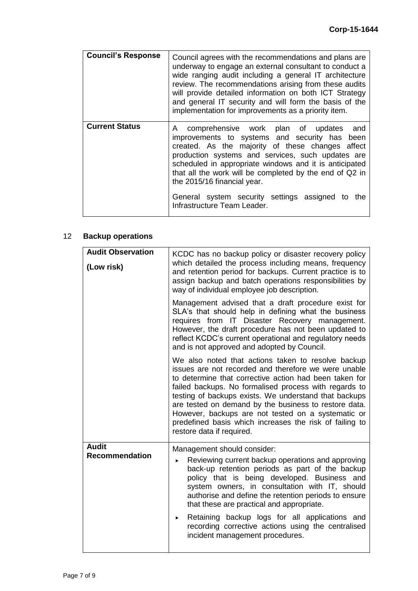| <b>Council's Response</b> | Council agrees with the recommendations and plans are<br>underway to engage an external consultant to conduct a<br>wide ranging audit including a general IT architecture<br>review. The recommendations arising from these audits<br>will provide detailed information on both ICT Strategy<br>and general IT security and will form the basis of the<br>implementation for improvements as a priority item.                                   |
|---------------------------|-------------------------------------------------------------------------------------------------------------------------------------------------------------------------------------------------------------------------------------------------------------------------------------------------------------------------------------------------------------------------------------------------------------------------------------------------|
| <b>Current Status</b>     | comprehensive work plan of updates and<br>A<br>improvements to systems and security has been<br>created. As the majority of these changes affect<br>production systems and services, such updates are<br>scheduled in appropriate windows and it is anticipated<br>that all the work will be completed by the end of Q2 in<br>the 2015/16 financial year.<br>General system security settings assigned to<br>the<br>Infrastructure Team Leader. |

## 12 **Backup operations**

| <b>Audit Observation</b><br>(Low risk) | KCDC has no backup policy or disaster recovery policy<br>which detailed the process including means, frequency<br>and retention period for backups. Current practice is to<br>assign backup and batch operations responsibilities by<br>way of individual employee job description.                                                                                                                                                                                                             |
|----------------------------------------|-------------------------------------------------------------------------------------------------------------------------------------------------------------------------------------------------------------------------------------------------------------------------------------------------------------------------------------------------------------------------------------------------------------------------------------------------------------------------------------------------|
|                                        | Management advised that a draft procedure exist for<br>SLA's that should help in defining what the business<br>requires from IT Disaster Recovery management.<br>However, the draft procedure has not been updated to<br>reflect KCDC's current operational and regulatory needs<br>and is not approved and adopted by Council.                                                                                                                                                                 |
|                                        | We also noted that actions taken to resolve backup<br>issues are not recorded and therefore we were unable<br>to determine that corrective action had been taken for<br>failed backups. No formalised process with regards to<br>testing of backups exists. We understand that backups<br>are tested on demand by the business to restore data.<br>However, backups are not tested on a systematic or<br>predefined basis which increases the risk of failing to<br>restore data if required.   |
| <b>Audit</b><br><b>Recommendation</b>  | Management should consider:<br>Reviewing current backup operations and approving<br>▶<br>back-up retention periods as part of the backup<br>policy that is being developed. Business and<br>system owners, in consultation with IT, should<br>authorise and define the retention periods to ensure<br>that these are practical and appropriate.<br>Retaining backup logs for all applications and<br>▶<br>recording corrective actions using the centralised<br>incident management procedures. |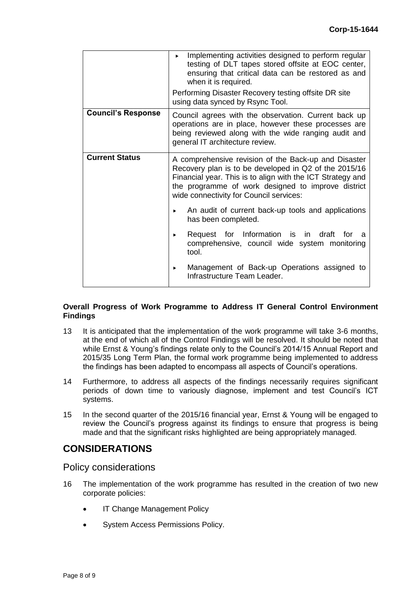|                           | Implementing activities designed to perform regular<br>$\blacktriangleright$<br>testing of DLT tapes stored offsite at EOC center,<br>ensuring that critical data can be restored as and<br>when it is required.                                                             |  |  |
|---------------------------|------------------------------------------------------------------------------------------------------------------------------------------------------------------------------------------------------------------------------------------------------------------------------|--|--|
|                           | Performing Disaster Recovery testing offsite DR site<br>using data synced by Rsync Tool.                                                                                                                                                                                     |  |  |
| <b>Council's Response</b> | Council agrees with the observation. Current back up<br>operations are in place, however these processes are<br>being reviewed along with the wide ranging audit and<br>general IT architecture review.                                                                      |  |  |
| <b>Current Status</b>     | A comprehensive revision of the Back-up and Disaster<br>Recovery plan is to be developed in Q2 of the 2015/16<br>Financial year. This is to align with the ICT Strategy and<br>the programme of work designed to improve district<br>wide connectivity for Council services: |  |  |
|                           | An audit of current back-up tools and applications<br>has been completed.                                                                                                                                                                                                    |  |  |
|                           | Request for Information is in draft<br>for<br>a<br>▶.<br>comprehensive, council wide system monitoring<br>tool.                                                                                                                                                              |  |  |
|                           | Management of Back-up Operations assigned to<br>▶<br>Infrastructure Team Leader.                                                                                                                                                                                             |  |  |

#### **Overall Progress of Work Programme to Address IT General Control Environment Findings**

- 13 It is anticipated that the implementation of the work programme will take 3-6 months, at the end of which all of the Control Findings will be resolved. It should be noted that while Ernst & Young's findings relate only to the Council's 2014/15 Annual Report and 2015/35 Long Term Plan, the formal work programme being implemented to address the findings has been adapted to encompass all aspects of Council's operations.
- 14 Furthermore, to address all aspects of the findings necessarily requires significant periods of down time to variously diagnose, implement and test Council's ICT systems.
- 15 In the second quarter of the 2015/16 financial year, Ernst & Young will be engaged to review the Council's progress against its findings to ensure that progress is being made and that the significant risks highlighted are being appropriately managed.

# **CONSIDERATIONS**

Policy considerations

- 16 The implementation of the work programme has resulted in the creation of two new corporate policies:
	- IT Change Management Policy
	- System Access Permissions Policy.